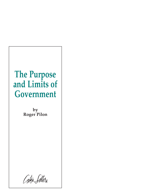# **The Purpose and Limits of Government**

**by Roger Pilon**

Cator Setters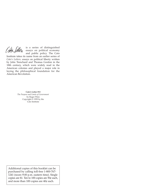Cator Setters

is a series of distinguished essays on political economy and public policy. The Cato

Institute takes its name from an earlier series of *Cato's Letters,* essays on political liberty written by John Trenchard and Thomas Gordon in the 18th century, which were widely read in the American colonies and played a major role in laying the philosophical foundation for the American Revolution.

**Cato's Letter #13**

*The Purpose and Limits of Government* by Roger Pilon Copyright © 1999 by the Cato Institute

Additional copies of this booklet can be purchased by calling toll-free 1-800-767- 1241 (noon–9:00 p.m. eastern time). Single copies are \$1. Ten to 100 copies are 50¢ each, and more than 100 copies are  $40¢$  each.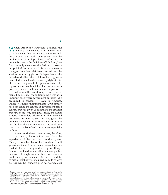When America's Founders declared the V nation's independence in 1776, they drafted a document that has inspired countless millions around the world ever since. For the Declaration of Independence, reflecting "a decent Respect to the Opinions of Mankind," set forth not only the causes that led us to dissolve our political ties but a moral vision that speaks to the ages. In a few brief lines, penned near the start of our struggle for independence, the Founders distilled their philosophy of government: individual liberty, defined by rights to life, liberty, and the pursuit of happiness, secured by a government instituted for that purpose with powers grounded in the consent of the governed.

Yet around the world today we see governments limiting liberty and trampling rights with impunity, even where government purports to be grounded in consent — even in America. Indeed, it is not for nothing that the 20th century has been called the century of government; it is a century that has given us leviathans the classical theorists could only imagine.<sup>1</sup> Thus, the issues America's Founders addressed in their seminal document are with us still. In fact, given the growing movement at century's end to limit at last the leviathans in our midst, one could say that today the Founders' concerns are especially with us.

As we revisit those concerns here, therefore, it is particularly important to learn from the experience of the past two hundred years. Clearly, it was the plan of the Founders to limit government, and to a substantial extent they succeeded; for in the grand sweep of things, America has fared rather better than many other nations that sought also, in their own ways, to limit their governments. But we would be remiss, at least, if we concluded from its relative success that the Founders' plan has worked as it

Roger Pilon is vice president for legal affairs at the Cato Institute where he holds the B. Kenneth Simon Chair in Constitutional Studies and is director of the Center for Constitutional Studies. This essay is reprinted, with permis-sion, from *Limiting Leviathan,* ed. Donald P. Racheter and Richard E. Wagner (Edward Elgar Publishing, Inc.: Cheltenham, UK, and Northampton, Mass., 1999).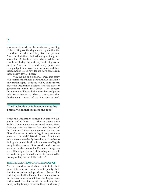was meant to work; for the most cursory reading of the writings of the day makes it plain that the Founders intended nothing like our present American leviathan. Indeed, many of the grievances the Declaration lists, which led to our revolt, are today the ordinary stuff of government in America. It would surely pain those who pledged their lives, their fortunes, and their sacred honor to see how far we have come from those heady days of liberty.2

With the aid of experience, then, this essay will examine the theory behind the Declaration's universal insights. Its focus will be on the moral order the Declaration sketches and the place of government within that order. The concern throughout will be with that most basic of political ideas — legitimacy. That, of course, was the fundamental concern of the Founders as well,

### **"The Declaration of Independence set forth a moral vision that speaks to the ages."**

which the Declaration captured in but two elegantly crafted lines: ". . . That to secure these Rights, Governments are instituted among Men, deriving their just Powers from the Consent of the Governed." Reason and consent, the two traditional sources of political legitimacy, are there joined for "a candid World'' to see. It is for us today to see more clearly how they go together to limit government, lending it a measure of legitimacy in the process. Once we do, and once we see what has become of the Founders' design, as we will briefly at the end of this chapter, we will be in a better position to breathe life back into the principles they so carefully crafted.3

#### **THE DECLARATION OF INDEPENDENCE**

As the Founders went about their task, their immediate aim, of course, was to justify their decision to declare independence. Toward that end, they set forth a theory of legitimate government, then demonstrated how far English rule had strayed from that ideal. In outlining their theory of legitimacy, however, they could hardly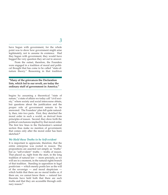have begun with government, for the whole point was to show how government might arise legitimately, not to assume its existence. Had

they begun with government, they would have begged the very question they set out to answer.

From the outset, therefore, the Founders were engaged in a tradition of moral and political thought that has come to be called "state-ofnature theory.'' Reasoning in that tradition

### **"Many of the grievances the Declaration lists, which led to our revolt, are today the ordinary stuff of government in America."**

begins by assuming a theoretical "state of nature,'' a state of affairs we today call "civil society,'' where society and social intercourse obtain, but questions about the justification and the proper role of government remain to be answered. The Founders' plan fell quite naturally, then, into two parts. First, they sketched the moral order in such a world, as derived from principles of reason. Second, they drew forth the political conclusions implied by that moral order. The first few lines in the Declaration's seminal section thus make no mention of government; that comes only after the moral order has been sketched.4

### *We Hold these Truths to be Self-evident*

It is important to appreciate, therefore, that the entire enterprise was rooted in reason. The propositions are asserted not simply as "truths'' but as "self-evident'' truths — truths of reason. That placed us, right from the start, in the long tradition of natural law — more precisely, as we will see in a moment, in the natural rights branch of that tradition. Standing in opposition to legal positivism — which merely posits law as the will of the sovereign — and moral skepticism which holds that there are no moral truths or, if there are, we cannot know them — natural law theorists have held both that there are such truths and that they are accessible through ordinary reason.<sup>5</sup>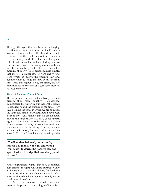Through the ages, that has been a challenging position to assume, to be sure, but the Founders assumed it nonetheless. It should be noted, however, that their beliefs about such matters were generally modest. Unlike moral dogmatists of earlier eras, that is, their abiding concern was not with any overweening moral strictures but, to the contrary, with liberty — with the morality of liberty. They believed, quite simply, that there is a higher law of right and wrong from which to derive the positive law and against which to judge that law at any point in time. And that higher law is, at bottom, the law of individual liberty and, as a corollary, individual responsibility.6

### *That all Men are Created Equal*

The argument begins, substantively, with a premise about moral equality — as defined immediately thereafter by our inalienable rights to life, liberty, and the pursuit of happiness. By thus defining the sense in which we are all equal, the Founders made clear what should have been clear in any event, namely, that we are all equal only in the sense that we all have equal natural rights — that no one has rights superior to those of anyone else. Plainly, the Founders could not have meant that we are all equal in fact, whatever that might mean, for such a claim would be absurd. Nor could they have meant to imply the

**"The Founders believed, quite simply, that there is a higher law of right and wrong from which to derive the positive law and against which to judge that law at any point in time."**

kind of egalitarian "rights'' that have dominated 20th century thought, which are purchased only at the expense of individual liberty.7 Indeed, the point of freedom is to enable our myriad differences to flourish, which they can do only under conditions of freedom.

But if the premise of equality was not meant to imply any far-reaching egalitarianism,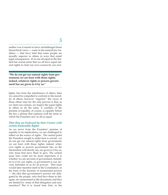neither was it meant to leave unchallenged those hierarchical views — some in the natural law tradition — that have held that some people are morally superior to others in ways that entail legal consequences. If we are all equal in the limited but crucial sense that we all have equal natural rights to chart our own courses by our own

**"We do not get our natural rights from government; we are born with those rights; indeed, whatever rights or powers government has are given to it by us."**

lights, free from the interference of others, then we cannot be compelled to conform to the morality of others, however "superior'' the views of those others may be; the only proviso is that, as we chart our courses, we respect the equal rights in others to do the same. A corollary of the premise of equality, of course, is equality before the law, a phrase that captures well the sense in which the Founders saw us all as equal.

### *That they are Endowed by their Creator with certain Inalienable Rights*

As we move from the Founders' premise of equality to its implications, we are challenged to reflect on the source of rights. The central point the Founders sought to make here is crucial: we do not get our natural rights from government; we are born with those rights; indeed, whatever rights or powers government has, as the Declaration will shortly say, are given to it by us, who must first have them to give. The central issue here could not be more important: it is whether we are servants of government, beholden to it for our rights, or government is our servant, beholden to us for its powers. That issue would later manifest itself in the Constitution, in the form of the doctrine of enumerated powers — the idea that government's powers are delegated by the people, who first have them to delegate; are enumerated in the document; and thus are limited by virtue of that delegation and enumeration.8 But it is found here first, in the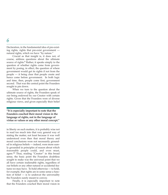Declaration, in the fundamental idea of pre-existing rights, rights that pre-exist government natural rights, which we have "by nature."

Crucial as that insight is, it does not, of course, address questions about the ultimate source of rights. $9 \text{ Rather}$ , it speaks simply to the question of whether rights come from government by posing, in effect, the question of where government would get its rights if not from the people — it being clear that people create and hence come before government. In both logic and time, then, people come first, government second. That was the central point the Founders sought to pin down.

When we turn to the question about the ultimate source of rights, the Founders speak of our being endowed by our Creator with certain rights. Given that the Founders were of diverse religious views, and given especially their belief

**"It is especially important to note that the Founders couched their moral vision in the language of rights, not in the language of virtue or values or any other moral concept."**

in liberty on such matters, it is probably wise not to read too much into that very general way of stating the matter, not least because it was well understood even then that moral theory and moral conclusions were not necessarily grounded in religious beliefs — indeed, were more surely grounded in principles of reason about which reasonable people could, and even must, agree.10 Thus, reading "Creator" in this broad sense, the basic point the Founders doubtless sought to make was the universal point that we all have certain inalienable rights, regardless of our beliefs or any other natural or accidental features we may have. To hold otherwise — to hold, for example, that rights are in some sense a function of belief — is to undercut the universality the Founders surely meant to convey.

Finally, it is especially important to note that the Founders couched their moral vision in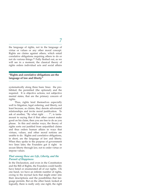the language of rights, not in the language of virtue or values or any other moral concept. Rights are claims against others, which entail correlative obligations requiring others to do or not do various things.11 Fully fleshed out, as we will see in a moment, the classical theory of rights orders individual acts and social affairs

### **"Rights and correlative obligations are the language of law and liberty."**

systematically along three basic lines: the prohibited; the permitted (the optional); and the required. It is objective actions, not subjective mental states, that are the primary concern of rights.

Thus, rights lend themselves especially well to litigation, legal ordering, and liberty, not least because, as claims, they denote adversarial relationships and invite moral justification. To ask of another, "By what right . . . ?", is tantamount to saying that if that other cannot make good on his claim, then you are free to do as you please. In this and similar ways, the theory of rights sorts out justified from unjustified claims and thus orders human affairs in ways that virtues, values, and other moral notions are unable to do. Rights and correlative obligations, in short, are the language of law and liberty. When they spoke to the purpose of government two lines later, the Founders got it right: to secure liberty through law, not to order virtue or impose values.

### *That among these are Life, Liberty, and the Pursuit of Happiness*

In the Declaration, and even in the Constitution and the Bill of Rights, the Founders could hardly have listed or enumerated all of our rights. On one hand, we have an infinite number of rights, owing to the myriad facts that might enter into their descriptions and the possibilities that language permits. But on the other hand, looked at logically, there is really only one right, the right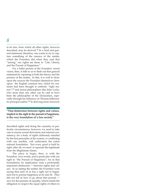to be free, from which all other rights, however described, may be derived.12 In a brief and general statement, therefore, one wants to try to capture something of the essence of the matter, which the Founders did when they said that "among" our rights are those to "Life, Liberty, and the Pursuit of Happiness."

For a fuller picture of the Founders' moral vision, then, it falls to us to flesh out that general statement by repairing to both the theory and the practice of the matter. In this, it is well to draw upon the sources the Founders themselves drew upon: the English common law, which for centuries had been thought to embody "right reason";<sup>13</sup> and moral philosophers like John Locke, who more than any other can be said to have been the philosopher of the Declaration, especially through his influence on Thomas Jefferson, its principal author.<sup>14</sup> In deriving more narrowly

### **"That distinction between rights and values, implicit in the right to the pursuit of happiness, is the very foundation of a free society."**

described rights and doing the casuistry in particular circumstances, however, we need to take care to ensure sound derivation and internal consistency; for a body of rights dubiously entailed by the first principles of the system, or conflicting with one another, will undermine the entire rational foundation. Not every good is held by right, after all; we need to separate the legitimate from the illegitimate claims.

The place to begin, then, is with the Founders' own words, and in particular with our right to "the Pursuit of Happiness"; for in that formulation, by implication, rests a profoundly important distinction — between rights and values. In so stating the matter, the Founders were saying that each of us has a right not to happiness but to pursue happiness as he sees fit. They did not tell us how to go about that pursuit  $$ save for the premise of equality, which entails the obligation to respect the equal rights of others to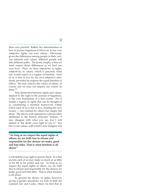their own pursuits. Rather, the determination of how to pursue happiness is left to us, to our own subjective lights, our own values. Obviously, given the differences among people in their various interests and values, different people will take different paths. The point, simply, is that we must respect those differences as we lead our own lives. Thus, we have objectivity in rights, subjectivity in values, which is precisely what one would expect in a regime of freedom. Each of us is free to live by his own subjective standards, provided he respects the equal freedom of others. We may criticize the values of others, of course, but we may not impose our values on them.15

That distinction between rights and values, implicit in the right to the pursuit of happiness, is the very foundation of a free society. For it entails a regime of rights that can be thought of as constituting a minimal framework within which each of us is free to live, charting his own course — not ordered by others but simply left alone. The idea is well captured in a phrase often attributed to the French *philosophe* Voltaire: "I may disagree with what you say, but I will defend to the death your right to say it." You have your values, with which I may disagree, but

**"As long as we respect the equal rights of others, we are both free to choose and responsible for the choices we make, good and bad alike. That is what freedom is all about."**

I will defend your right to pursue them. In a free society, each of us may make as much or as little of his life as he wishes and can. As long as we respect the equal rights of others, we are both free to choose and responsible for the choices we make, good and bad alike. That is what freedom is all about.

To ground the theory of rights, however, giving it greater specificity, we look to both the common law and Locke, where we find that in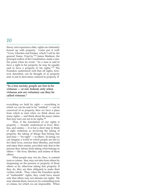theory and experience alike, rights are intimately bound up with property. Locke put it well: "Lives, Liberties and Estates, which I call by the general Name, *Property.*"16 James Madison, the principal author of the Constitution, made a similar point when he wrote: "As a man is said to have a right to his property, he may be equally said to have a property in his rights." $1\overline{7}$  The Founders understood well that all rights, however described, can be thought of as property and, to aid in derivation, reduced to property. If

**"In a free society, people are free to be virtuous — or not. Indeed, only when virtuous acts are voluntary can they be called virtuous."**

everything we hold by right — everything to which we can be said to be "entitled" — can be conceived of as property, then we have a place from which to start when we think about our many rights — and think about the many claims that may turn out not to be rights.18

Thus, if the foundation of our rights is property — broadly understood as lives, liberties, and estates  $-$  it is but a short step to think of right violations as involving the taking of property, the taking of things that belong free and clear — "by right" — to others. So doing, we can imagine a world in which people are free to live their lives, exercise their liberties, and build and enjoy their estates, provided only that in the process they refrain from taking what belongs to others — the lives, liberties, and estates of those others.

What people may not do, then, is commit torts or crimes: they may not take from others by trespassing on the persons or property of those others or by otherwise taking that property. If they do, they are then obligated to make their victims whole. Thus, when the Founders spoke of "inalienable" rights, they could have meant only that others may not alienate our rights. We may alienate them, however, by committing torts or crimes, for which we are responsible. When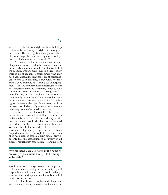we do, we alienate our right to those holdings that may be necessary to right the wrong we have done. Thus are rights and obligations alienated or extinguished and new rights and obligations created as we act in the world.19

At this stage in the derivation, then, our only obligation is to leave each other alone. Thus, it is particularly important to notice, in the context of the modern welfare state, that in a free society there is no obligation to assist others who may need assistance, although people are at perfect liberty to offer such assistance if they wish. We may think it good that they do — that is our value judgment — but we cannot compel that assistance. For all association must be voluntary, which is why committing torts or crimes — taking people's lives, liberties, or estates without their consent is not simply wrong, but violates their rights. Were we to compel assistance, we too would violate rights. In a free society, people are free to be virtuous — or not. Indeed, only when virtuous acts are voluntary can they be called virtuous.20

In the world thus far sketched, then, people are free to make as much or as little of themselves as they wish and can. In the ordinary world, however, most people do that not as isolated individuals but through association with others. We come then to the second great font of rights, a corollary of property — promise or contract. As part of our liberty, our right to freely act, each of us has a right to associate with others, provided only that the association be voluntary on all sides. Through such association — ranging from

**"We can hardly violate rights in the name of securing rights and be thought to be doing so by right."**

spot transactions to bargains over time to private clubs, churches, marriages, partnerships, giant corporations, and on and on — people exchange their various holdings and civil society in all of its rich variety arises.

Here too, however, rights and obligations are constantly being alienated and created as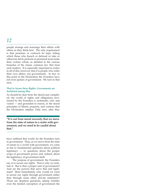people arrange and rearrange their affairs with others as they think best. The only requirement is that promises or contracts be kept, failing which those who breach or defraud or take or otherwise fail to perform as promised must make their victims whole, as detailed in the various branches of the classic common law that treat such matters. It is especially important to notice in all of this, however, that it is people who order their own affairs, not governments. In fact, to this point in the Declaration the Founders have not even spoken of government. We turn to that next.

### *That to Secure these Rights, Governments are Instituted among Men*

As should be clear from the sketch just completed, the world of rights and obligations envisioned by the Founders is systematic, rich, and varied — and grounded in reason, in the moral principles of liberty, property, and contract that the Declaration implies. Only now, after they

### **"It is not from moral necessity that we move from the state of nature to a realm with government, and we need to be candid about that."**

have outlined that world, do the Founders turn to government. Thus, as we move from the state of nature to a world with government, we come at last to fundamental questions about political legitimacy — to questions about the proper scope of government power and, indeed, about the legitimacy of government itself.

The purpose of government, the Founders say, is to secure our rights. That is why we institute it. But is that a proper end of government? And are the powers that serve that end legitimate? More immediately, why would we want to secure our rights through government rather than through some other, private institution? Those are skeptical questions, asking whether even the limited conception of government the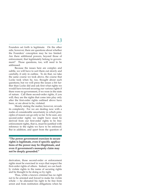Founders set forth is legitimate. On the other side, however, there are questions about whether the Founders' conception may be too limited. Are there additional powers, beyond those of enforcement, that legitimately belong to government? Those questions, too, will need to be addressed.

Because the issues here are complex and subtle, we will have to sort them out slowly and carefully, if only in outline. To do that, we take the same course we took above, the course that Locke took when he, too, thought about such questions; but we will press the issues a bit further than Locke did and ask first what rights we would have toward securing our various rights if there were no government, if we were in the state of nature. Call them second-order rights, if you will; they are the rights that come into play only after the first-order rights outlined above have been, or are about to be, violated.

Merely stating the matter, however, reveals its complexity. For we are dealing now with a realm of considerable uncertainty in which principles of reason can go only so far. To be sure, any second-order rights we might have must be derived from our first-order rights to be free: enforcement rights, that is, must be justified with reference to the rights we have to be enforced. But in addition, and apart from the question of

**"The power government exercises to secure rights is legitimate, even if specific applications of the power may be illegitimate, and even if government's monopoly claim may not be deeply grounded."**

derivation, those second-order or enforcement rights must be exercised in ways that respect the first-order rights of others. Indeed, we can hardly violate rights in the name of securing rights and be thought to be doing so by right.

Thus, while a known criminal has no right not to be arrested and forced to make his victim whole — he alienated his right to be free from arrest and from restitution obligations when he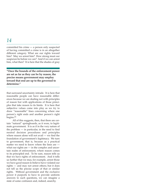committed his crime — a person only suspected of having committed a crime is in an altogether different category. What are our rights toward him? May we arrest him? How strong must our suspicion be before we can? And if we can arrest him, what then? It is here that the shades of gray

**"Once the bounds of the enforcement power are set as far as they can be by reason, the precise means government may employ toward that end are up to the governed to determine."**

that surround uncertainty intrude. It is here that reasonable people can have reasonable differences because we are dealing not with principles of reason but with applications of those principles that take reason to its limits. It is here that subjective values come into play as we try to draw "reasonable" lines concerning where one person's right ends and another person's right begins.21

All of this suggests, then, that there are certain "natural" springboards, as it were, to legitimate government. It is as if in the very nature of the problem — in particular, in the need to find neutral decision procedures and principles where reason alone will not avail — we find the foundation of government's legitimacy. We turn to government, that is, because as a practical matter we need to know where the lines are what our rights are — in the complex and uncertain realm of enforcement, where reason comes to its principled end. To be sure, reason tells us that we have rights of enforcement. And it tells us further that we may, for example, arrest those we have good reason to believe have violated our rights — and may not arrest others; but it does not tell us the precise scope of that or similar rights. Without government and the exclusive power it purports to have to provide uniform answers to such questions, we can imagine a state of some confusion and, indeed, anarchy.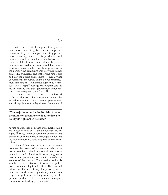Yet for all of that, the argument for government enforcement of rights — rather than private enforcement by, for example, competing private enforcement agencies<sup>22</sup>  $-$  is prudential, not moral. It is not from moral necessity that we move from the state of nature to a realm with government, and we need to be candid about that. In fact, there is no answer, other than from prudence, to the person who complains that he would rather enforce his own rights and that forcing him to use and pay for public enforcement — that is what government's monopoly on the power of enforcement amounts to  $-\overline{\ }$  violates his right to do it himself. He is right.<sup>23</sup> George Washington said as much when he said that "government is not reason, it is not eloquence, it is force."24

It seems, then, that the best that can be said is this: at the least, the enforcement power the Founders assigned to government, apart from its specific applications, is legitimate. In a state of

### **"The majority must justify its claim to rule the minority; the minority does not have to justify its right not to be ruled."**

nature, that is, each of us has what Locke called the "Executive Power" — the power to secure his rights.25 Thus, when government exercises that power on our behalf, it is exercising a power that we would otherwise have a right to exercise ourselves.

None of that goes to the way government exercises the power, of course — to whether it uses force when it should not or fails to use force when it should. Nor does it go to the government's monopoly claim, its claim to the exclusive exercise of that power. The question, rather, is whether the executive or enforcement or police power as such is legitimate. It is. Thus, to that extent, and that extent only, the power government exercises to secure rights is legitimate, even if specific applications of the power may be illegitimate, and even if government's monopoly claim may not be deeply grounded.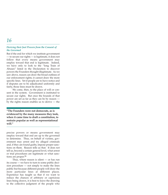### *Deriving their Just Powers from the Consent of the Governed*

But if the end for which we institute government — to secure our rights — is legitimate, it does not follow that every means government may employ toward that end is legitimate. Indeed, we have only to look to the "long Train of Abuses" listed in the Declaration to discover powers the Founders thought illegitimate. As we saw above, reason can draw the broad outlines of our enforcement rights; it cannot draw the more specific lines. Yet if people are to have notice and if disputes are to be adjudicated uniformly and fairly, those lines must be drawn.

We come, then, to the place of will or consent in the system. Government is instituted to secure our rights. But once the bounds of that power are set as far as they can be by reason by the rights reason enables us to derive — the

**"The Founders were not democrats, as is evidenced by the many measures they took, when it came time to draft a constitution, to restrain popular as well as representational will."**

precise powers or means government may employ toward that end are up to the governed to determine. Thus, on behalf of victims, government may arrest and try alleged criminals and, if they are found guilty, impose proper sanctions on them. Reason tells us that. It does not tell us, beyond a certain general level, what arrest or trial procedures are legitimate or what sanctions are proper.26

Thus, where reason is silent  $-$  or has run its course — we have to turn to some public decision procedure — not simply to make the lines public but because different people will draw the more particular lines at different places. Experience has taught us that if we want to reduce the chances of arbitrary or capricious lines being drawn, it is best to leave the drawing to the collective judgment of the people who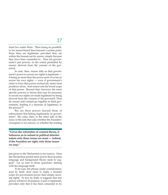must live under them. There being no possibility for reason-based lines beyond a certain point, those lines are legitimate, provided they are within the bounds set by reason, simply because they have been consented to. Thus are government's just powers, to the extent permitted by reason, derived from the consent of the governed.

In sum, then, reason tells us that government's power to secure our rights is legitimate it being no more than the power each of us has to secure his own rights — even if government's claim to have that power exclusively stems from prudence alone. And reason sets the broad scope of that power. Beyond that, however, the more specific powers or means that may be necessary to secure our rights are made legitimate by being derived from the consent of the governed. Thus do reason and consent go together to limit government, lending it a measure of legitimacy in the process.27

But are there powers beyond those of enforcement that belong legitimately to government? We come, then, to the other side of the issue, to the side that asks whether the Founders' conception is too narrow, or whether the reading

**"Given the infirmities of consent theory, it behooves us to submit to political determination only those issues we must — indeed, if the Founders are right, only those issues we may."**

just given to the Declaration is too narrow. Does the Declaration permit more power than its plain language and background theory seem to suggest? Let us turn to those questions, starting with the language itself.

To be sure, the phrase under consideration, read by itself, does seem to imply a broader scope for government power than simply securing rights. In fact, by itself, it suggests that any power, whatever its purpose, is just or legitimate, provided only that it has been consented to by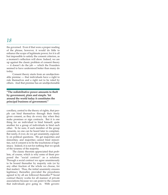the governed. Even if that were a proper reading of the phrase, however, it would do little to enhance the scope of legitimate power, for it is all but impossible to satisfy the consent criterion, as a moment's reflection will show. Indeed, we are up against the classic problem of consent theory  $-$  it doesn't do the job  $-$  which the Founders seemed to have understood better than many do today.

Consent theory starts from an unobjectionable premise — that individuals have a right to rule themselves and a right not to be ruled by others. And that premise has an unobjectionable

### **"The redistributive power amounts to theft by government, plain and simple. Yet around the world today it constitutes the principal business of government."**

corollary, central to the theory of rights, that people can bind themselves through their freely given consent, as they do every day when they make promises or sign contracts. But it is one thing for an individual to bind himself, quite another for a group of individuals to bind each other. To be sure, if each member of the group consents, no one can be heard later to complain. But rarely, if ever, do we get unanimity, especially on political questions. We get majorities and minorities; and majorities cannot bind minorities, not if consent is to be the touchstone of legitimacy. Indeed, it is not for nothing that we speak of the tyranny of the majority.

The classic theorists appreciated that problem, of course, which is why some of them proposed the "social contract" as a solution. Through a social contract we agree unanimously to be bound thereafter by majority rule (or by any other fraction of the whole we choose, for that matter). Thus, the initial unanimity ensures legitimacy thereafter, provided the procedures agreed to by all are followed thereafter.<sup>28</sup> Social contract theory works for all manner of private associations because we can point to the consent that individuals give going in. With govern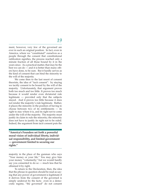ment, however, very few of the governed are ever in such an original position. In fact, even in America, where we "constituted" ourselves as a people through the consent that constitutional ratification signifies, the process reached only a minute fraction of all those bound by it in the years since. As a practical matter, that may be the best we can do — and it is better than many others have done, to be sure. But it hardly serves as the kind of consent that can bind the minority to the will of the majority.

We come then to the last resort of consent theorists, the idea of "tacit consent": by staying we tacitly consent to be bound by the will of the majority. Unfortunately, that argument proves both too much and too little. It proves too much because it would render even dictatorial rule legitimate — provided only that the subjects stayed. And it proves too little because it does not render the majority's rule legitimate. Rather, it places the minority in the position of having to choose between two of its entitlements — its right to stay where it is, and its right not to come under the will of the majority. The majority must justify its claim to rule the minority; the minority does not have to justify its right not to be ruled. Indeed, the argument from tacit consent puts the

**"America's Founders set forth a powerful moral vision of individual liberty, individual responsibility, and limited government — government limited to securing our rights."**

majority in the place of the gunman who says "Your money or your life." You may give him your money "voluntarily," but we would hardly say you consented to do so — much less that he obtained it by right.

To return to the Declaration, then, the idea that the phrase in question should be read as saying that any power of government is legitimate if it derives from the consent of the governed is simply undercut by the facts: even in a democratic regime, "the governed" do not consent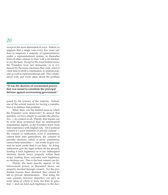except in the most attenuated of ways. Indeed, to suppose that a single vote every few years suffices to empower a majority of representatives, under a representational system, to thereafter bind all other citizens to their will is far-fetched, to say the least. Except in the most limited sense, the Founders were not democrats, as is evidenced by the many measures they took, when it came time to draft a constitution, to restrain popular as well as representational will. They understood well, and wrote often, about the problem

### **"It was the doctrine of enumerated powers that was meant to constitute the principal defense against overweening government."**

posed by the tyranny of the majority. Indeed, one of the central reasons for having a constitution is to address that problem.

What, then, was the limited sense in which the Founders were democrats? To answer that question, we have simply to consider the alternative — no consent at all. Plainly, that regime can be even more tyrannical than an unrestrained majoritarian regime, as the Founders knew from their experience with English rule. Yet if political consent is a poor imitation of private consent the consent of ratification, even if unanimous, cannot bind later generations; the consent of periodic elections, which is never unanimous, cannot bind minorities — one wants to give consent no more credit than it can bear. So doing, ratification gets the legal system off the ground, lending it such legitimacy as it can. Subsequent elections decide issues properly within their scope, lending those outcomes such legitimacy as elections can. That is the best consent can do.

Plainly, the more specific aspects of the enforcement power, as discussed above, are properly decided through consent. For the prudential reasons there sketched, they cannot be left to private determination. That being the case, consent, however imperfect, can give us some sense of where to draw the lines in question — and can lend such legitimacy to the deci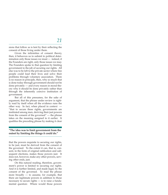sions that follow as is lent by their reflecting the consent of those living under them.

Given the infirmities of consent theory, then, it behooves us to submit to political determination only those issues we must — indeed, if the Founders are right, only those issues we may. The Founders spoke to that question by limiting government to the job of securing our rights. All else was to be left to the private sector where free people could lead their lives and solve their problems through voluntary association. There is no reason in principle, then, why so much that is done today through government should not be done privately — and every reason in moral theory why it should be done privately rather than through the inherently coercive institution of government.

But all of this presumes, for the sake of argument, that the phrase under review is rightly read by itself when all the evidence runs the other way. In fact, when placed in context  $-$ "that to secure these rights, governments are instituted among men, deriving their just powers from the consent of the governed" — the phrase takes on the meaning assigned to it earlier. It qualifies the preceding phrase by making it clear

### **"The idea was to limit government from the outset by limiting the things it could do."**

that the powers requisite to securing our rights, to be just, must be derived from the consent of the governed. To the extent it can, that is, consent, in the form of original ratification and subsequent elections, makes those powers just. It does not, however, make any other powers, serving other ends, just.

On this natural reading, therefore, government's power is limited to securing our rights. And it is further limited, and made legal, by the consent of the governed. To read the phrase more broadly — to assume, for example, that there are legitimate powers in addition to those necessary to secure rights — is to raise a fundamental question: Where would those powers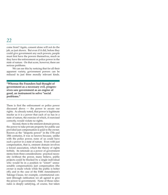come from? Again, consent alone will not do the job, as just shown. But even if it did, before they could give government any such powers, people must first have the powers themselves, much as they have the enforcement or police power in the state of nature. On that score, however, there are serious problems.

We can see this by noticing that for all their apparent variety, government powers can be reduced to just three morally relevant kinds.

**"Whereas the Founders had thought of government as a necessary evil, progressives saw government as an engine of good, an instrument to solve "social problems."**

There is first the enforcement or police power discussed above — the power to secure our rights. As already noted, that power is legitimate insofar as it is a power that each of us has in a state of nature, the exercise of which, if exercised correctly, would violate no rights.

Second, there is the eminent domain power, the power to take private property for public use provided just compensation is paid to the owner. Known as the "despotic power" in the 17th and 18th centuries, it was so known because, unlike with the police power, none of us could have such a power in a state of nature. Even with just compensation, that is, eminent domain involves a forced association, which the theory of rights forbids. Its rationale as a power of government stems from three considerations: practical necessity (without the power, many believe, public projects could be blocked by a single individual who would be in a position to "extort" unreasonable compensation); just compensation (the owner is made whole while the public is better off); and in the case of the Fifth Amendment's Takings Clause, for example, constitutional consent (through ratification we all agreed to give the power to government). None of those rationales is deeply satisfying, of course, but taken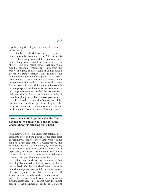together they do mitigate the despotic character of the power.

Finally, the third basic power of government, especially prominent in the 20th century, is the redistributive power and its regulatory corollary — the power to take from some and give to others. This is a naked power that enjoys no credible rationale whatsoever — not from the theory of rights, at least. None of us has such a power in a state of nature. Nor do any of the eminent domain rationales apply to the redistributive power: there is no practical necessity, no just compensation, and no constitutional consent for the power. In a word, however noble-sounding the purported rationales for its exercise may be, the power amounts to theft by government, plain and simple. Yet around the world today it constitutes the principal business of government.

To return to the Founders' conception of the purpose and limits of government, given the moral vision on which their conception rests, it is hard to square even the eminent domain power

### **"After a few critical opinions that the Court handed down between 1936 and 1938, the Constitution was standing on its head."**

with that vision. Yet we know that colonial governments exercised the power, as did later state governments. And we know that when it came time to draft and ratify a Constitution, the Founders included such a power, by implication, in the Bill of Rights. One could chalk this up to expediency, of course. Or one could say that at the end of the day the not-insubstantial rationales that support the power prevailed.

What one could not say, however, is that anything like the redistributive power can be so rationalized. On the Founders' vision, the eminent domain power is a stretch, but constitutional consent, plus the fact that the victim is left whole, may cover that stretch. The redistributive power, by contrast, is not even close. Under no circumstances can it be squared with the moral principles the Founders set forth. In a state of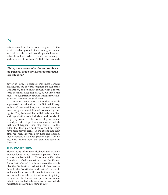nature, *A* could not take from *B* to give to *C.* On what possible ground, then, can government step into *A*'s shoes and take *B*'s goods, however noble its motive? Where would government get such a power if not from *A*? But *A* has no such

### **"Today there seems to be almost no subject too personal or too trivial for federal regulatory attention."**

power to give. To suggest that mere consent could justify the power is to ignore the rest of the Declaration, and to invest consent with a moral force it simply does not have, as we have just seen. The redistributive power is not simply illegitimate, therefore, but starkly so.

In sum, then, America's Founders set forth a powerful moral vision of individual liberty, individual responsibility, and limited government — government limited to securing our rights. They believed that individuals, families, and organizations of all kinds would flourish if only they were free to do so, if government would provide a legal framework within which that might happen, then step aside. To the extent that their plan has been carried out, they have been proven right. To the extent that their plan has been ignored, both here and abroad, they especially have been proven right. Let us see, very briefly, how the plan has fared in America.

### **THE CONSTITUTION**

Eleven years after they declared the nation's independence, which American patriots finally won on the battlefield at Yorktown in 1781, the Founders drafted a constitution for the United States that reflected to a large degree the principles the Declaration had set forth. Not everything in the Constitution did that, of course: it took a civil war to end the institution of slavery, for example, which the Constitution implicitly recognized. But for the most part, the document called for a limited national government, which ratification brought into being in 1789.29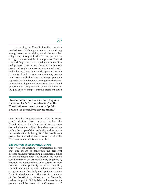In drafting the Constitution, the Founders needed to establish a government at once strong enough to secure our rights, and do the few other things they thought it should do, yet not so strong as to violate rights in the process. Toward that end they gave the national government limited powers, then limited the exercise of those powers through an intricate system of checks and balances. Thus, they divided power between the national and the state governments, leaving most power with the states and the people, then separated national powers among three independent yet interdependent branches of the national government. Congress was given the lawmaking power, for example, but the president could

**"In short order, both sides would buy into the New Deal's "democratization" of the Constitution — the expansion of public power over theretofore private affairs."**

veto the bills Congress passed. And the courts could decide cases arising under the Constitution, particularly cases raising the question whether the political branches were acting within the scope of their authority and in a manner consistent with the rights of the people  $-$  a power that reached state actions as well after the Civil War amendments were ratified.

### *The Doctrine of Enumerated Powers*

But it was the doctrine of enumerated powers that was meant to constitute the principal defense against overweening government. Since all power began with the people, the people could limit their government simply by giving it, through the Constitution, only certain of their powers. That, precisely, is what they did, through enumeration, thus making it clear that the government had only such powers as were found in the document. The very first sentence of the Constitution, following the Preamble, makes the point: "All legislative Powers herein granted shall be vested in a Congress . . ."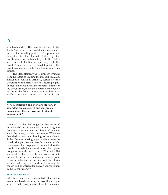(emphasis added). The point is reiterated in the Tenth Amendment, the final documentary statement of the founding period: "The powers not delegated to the United States by the Constitution, nor prohibited by it to the States, are reserved to the States respectively, or to the people." In a word, power was delegated by the people, enumerated in the Constitution, and thus limited.

The idea, plainly, was to limit government from the outset by limiting the things it could do, almost all of which, as Article I, Section 8 of the Constitution indicates, relate to securing rights. In fact, James Madison, the principal author of the Constitution, made the point in 1794 when he rose from the floor of the House to object to a welfare proposal, saying that he could not

**"The Declaration and the Constitution, as amended, are consistent and elegant statements about the purpose and limits of government."**

"undertake to lay [his] finger on that article of the Federal Constitution which granted a right to Congress of expending, on objects of benevolence, the money of their constituents."30 Notice that Madison was not objecting to benevolence. Rather, he was making a point about constitutional principle: however worthy the end might be, Congress had no power to pursue it since the people, through their Constitution, had given Congress no such power. In 1887, exactly 100 years after the Constitution was drafted, President Grover Cleveland made a similar point when he vetoed a bill to buy seeds for Texas farmers suffering from a drought, saying he could "find no warrant for such an appropriation in the Constitution."31

### *The Climate of Ideas*

Why then, today, do we have a federal leviathan in our midst, redistributing our wealth and regulating virtually every aspect of our lives, making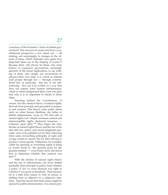a mockery of the Founders' vision of limited government? The answers are many, but from a constitutional perspective a few stand out — all relating, not surprisingly, to changes in the climate of ideas, which indicates once again how important ideas are in the shaping of events.32 Because there will always be those who truly believe in expansive government, seemingly ignorant of the moral implications, to say nothing of those who simply use government to advance their own ends, it is crucial to restrain such people through law — through constitutional law, in particular. But law is not selfenforcing. Nor can it be written in a way that does not require some human interpretation, which is where background ideas come into play and why it is so important to attend to those ideas.

Standing behind the Constitution, of course, was the classical theory of natural rights, derived from principle and grounded in property and contract. That theory came under attack early on when Jeremy Bentham, the father of British utilitarianism, wrote in 1791 that talk of natural rights was "simple nonsense; natural and imprescriptible rights, rhetorical nonsense, nonsense upon stilts."33 Thus began the slow decline of natural rights theory and the rise of the idea that law, policy, and moral judgments generally were to be justified not by their following from some overarching principles of right and wrong, rooted in reason, but by their serving to produce various goods. Utilitarians, for example, called for ignoring or overriding rights if doing so would result in "the greatest good for the greatest number" — even if they never did tell us how to determine whether that criterion was  $m$  $e$  $t$  $34$ 

With the decline of natural rights theory and the rise of utilitarianism, our focus shifted gradually from principle to policy, from whether a policy or law or court decision was right to whether it was good or beneficial. That amounted to a shift from reason to will, of course, to shifting from an objective to a subjective standard. And that meant that more issues might be opened to public determination. If a certain prin-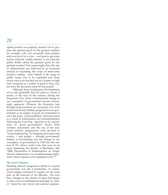cipled position on property seemed not to produce the greatest good for the greatest number, for example, why not reconsider that position and even put it to a vote — not least to get some feel for what the "public interest" is, for what the public thinks about the greatest good for the greatest number? Not surprisingly, then, the rise of utilitarianism was followed by an increased interest in expanding the scope of democratic decision making. And, indeed, if the range of public issues was to be expanded and those issues were to be decided not as a matter of right and wrong but as a matter of good or bad, why not have the decisions made by the people?

Although those background developments set in only gradually, they all came to a head, it seems, at the turn of the century, during the Progressive Era, when a fundamental change in our conception of government became increasingly apparent. Whereas the Founders had thought of government as a necessary evil, to be feared and strictly limited, progressives saw government as an engine of good, an instrument to solve the many "social problems" that had arisen as a result of urbanization and industrialization following the Civil War. Spurred on by conceptions of "good government" drawn from German universities and the rise of the new social sciences, progressives were devoted to "social engineering," to changing and improving society — and people — through government. Indeed, so far-reaching was the change in our conception of government by 1900 that the editors of *The Nation* could write that year, in an essay lamenting the decline of liberalism, that "[t]he Declaration of Independence no longer arouses enthusiasm; it is an embarrassing instrument which requires to be explained away."35

### *The Court Collapses*

Standing athwart progressive efforts to expand government was the Constitution, of course, which judges continued to regard, for the most part, as the bulwark of our liberties. Yet even here, changes in the climate of ideas had begun to chip away at constitutional principle as "policy" found its way slowly into judicial opinions.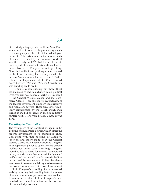Still, principle largely held until the New Deal, when President Roosevelt began his long march to radically expand the role of the federal government. The crisis came after several such efforts were rebuffed by the Supreme Court: it was then, early in 1937, that Roosevelt threatened to pack the Court with six additional members. Not even Congress would go along. Nevertheless, the Court-packing scheme worked as the Court, hearing the message, made the famous "switch in time that saved nine."36 After a few critical opinions that the Court handed down between 1936 and 1938, the Constitution was standing on its head.

Upon reflection, it is surprising how little it took to make so radical a change in our political lives; yet just two clauses of Article I, Section 8 — the General Welfare Clause and the Commerce Clause — are the source, respectively, of the federal government's modern redistributive and regulatory powers. Those clauses were radically reinterpreted by the Court, which then turned to the Bill of Rights, in 1938, to radically reinterpret it. Here, very briefly, is how it was done.

### *Rewriting the Constitution*

The centerpiece of the Constitution, again, is the doctrine of enumerated powers, which limits the federal government to its authorized ends. Consistent with that doctrine, as Madison, Jefferson, and others made clear, the General Welfare Clause could not have afforded Congress an independent power to spend for the general welfare; for under such a reading, Congress would be able to spend for any end, enumerated or not, provided only that it served the "general" welfare, and thus would be able to evade the limits imposed by enumeration.37 No, the clause was meant to serve as a shield against overweening power, not as a sword of power: it was meant to limit Congress's spending for enumerated ends by requiring that spending be for the general rather than for any particular or local welfare. It was meant, in short, to limit Congress's enumerated powers, not to undermine the doctrine of enumerated powers itself.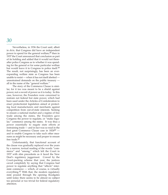Nevertheless, in 1936 the Court said, albeit in *dicta,* that Congress did have an independent power to spend for the general welfare;38 then in 1937 the Court announced that conclusion as part of its holding and added that it would not thereafter police Congress as to whether it was spending for the general or for some particular welfare but would leave it to Congress to police itself.<sup>39</sup> The result, not surprisingly, has been an everexpanding welfare state as Congress has been unable to resist — when it has not itself abetted unrestrained demands on the public treasury all in the name of the "general welfare."

The story of the Commerce Clause is similar, for it too was meant to be a shield against power, not a sword of power as it is today. In this case, however, the Founders were concerned to restrain not federal but state power, which had been used under the Articles of Confederation to enact protectionist legislation aimed at protecting local manufacturers and merchants against competition from out-of-state interests. Seeking to ensure a national market and a regime of free trade among the states, the Founders gave Congress the power to regulate, or "make regular," commerce among the states. It was thus a power essentially to negate state efforts at restraining trade — and in fact was so read in the first great Commerce Clause case in 182440 and to enable Congress to take such other measures as might be necessary and proper to ensure free trade.<sup>41</sup>

Unfortunately, that functional account of the clause was gradually replaced over the years by a narrow, textual reading of the words "commerce" and "among," which left the Court in 1937 with slim precedents as it faced the New Deal's regulatory juggernaut. Cowed by the Court-packing scheme that year, the justices caved completely by saying that Congress had power to regulate anything that "affects" interstate commerce — which, of course, is virtually everything.42 With that, the modern regulatory state poured through the opening floodgates until today there seems to be almost no subject too personal or too trivial for federal regulatory attention.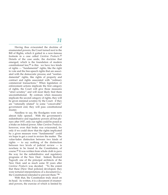Having thus eviscerated the doctrine of enumerated powers, the Court turned next to the Bill of Rights, which it gutted in a now-famous footnote in a case called *Carolene Products.*43 Details of the case aside, the doctrine that emerged, which is the foundation of modern constitutional law, $44$  is this: we have two kinds of rights — "fundamental" rights, like the right to vote and the free-speech rights that are associated with the democratic process; and "nonfundamental" rights, like rights of property and contract and rights associated with "ordinary commercial transactions." When legislation or enforcement actions implicate the first category of rights, the Court will give those measures "strict scrutiny" and will most likely find them unconstitutional. By contrast, when measures implicate the second category of rights, they will be given minimal scrutiny by the Court: if they are "rationally related" to some "conceivable" government end, they will pass constitutional muster.

Needless to say, the floodgates were now almost fully opened. With the government's redistributive and regulatory powers all but plenary after 1937, only our rights could be posed as a brake on federal power. After *Carolene Products,* however, even that brake was eviscerated, for only if we could show that the rights implicated by a given measure were "fundamental" could we hope to get a court to review the matter. The value-laden distinction between two kinds of rights — to say nothing of the distinction between two levels of judicial review — is nowhere to be found in the Constitution, of course.45 It was written from whole cloth to pave the way for the redistributive and regulatory programs of the New Deal. Indeed, Rexford Tugwell, one of the principal architects of the New Deal, said as much some 30 years after *Carolene Products* was decided: "To the extent that these [New Deal policies] developed, they were tortured interpretations of a document [i.e., the Constitution] intended to prevent them."46

With that, the Constitution truly stood on its head. As written, it is a document of enumerated powers, the exercise of which is limited by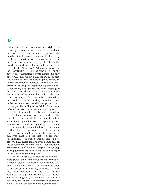both enumerated and unenumerated rights. As it emerged from the New Deal, it was a document of effectively unenumerated powers, the exercise of which would thereafter be limited by rights interpreted narrowly by conservatives on the Court and episodically by liberals on the Court. In short order, that is, both sides would buy into the New Deal's "democratization" of the Constitution — the expansion of public power over theretofore private affairs; the only differences they would have, for the most part, would be over whether there might be any rights to brake that power. Conservatives would have difficulty finding any rights not expressly in the Constitution, thus ignoring the plain language of the Ninth Amendment: "The enumeration in the Constitution of certain rights shall not be construed to deny or disparage others retained by the people." Liberals would ignore rights plainly in the document, such as rights of property and contract, while finding other "rights" not meant to be among even our unenumerated rights.

That, in a nutshell, is the state of modern constitutional jurisprudence in America. The rewriting of the Constitution, without benefit of amendment, goes far toward explaining how political forces bent on expanding government have been able to do so in the face of a document written plainly to prevent that. If we are to restore constitutional government, however, we ourselves must take the first step, for those "political forces" include a large portion of a people who have asked for, and even demanded, all the government we have today — constitutional restraints aside.47 As a first step, we must stop asking government to do what we had no right to ask it to do in the first place.

But we must also recognize, from a more basic perspective, that constitutions cannot be written in stone: they rightly require some flexibility. That is not to say that any interpretation of our Constitution will do, of course. In fact, most interpretations will not do, for the Founders, through the documents they drafted and the writings they left us, made it quite clear how they meant those documents to be understood. The Declaration and the Constitution, as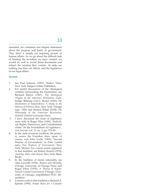amended, are consistent and elegant statements about the purpose and limits of government. They draw a simple yet inspiring picture of human affairs. As we go about the difficult task of limiting the leviathan we have created, we would do well to revisit those documents and relearn the wisdom they contain. At stake are nothing less than our liberty and the legitimacy of our legal affairs.

### **NOTES**

- 1. See Paul Johnson (1991), *Modern Times,* New York: Harper Collins Publishers.
- 2. For useful discussions of the ideological currents surrounding the Declaration, see Bernard Bailyn (1967), *The Ideological Origins of the American Revolution*, Cambridge: Belknap; Carl L. Becker (1922), *The Declaration of Independence: A Study in the History of Political Ideas,* New York: Vintage repr., 1958; and Morton White (1978), *The Philosophy of the American Revolution,* Oxford: Oxford University Press.
- 3. I have discussed the issue of legitimacy more fully in Roger Pilon (1992), 'Individual Rights, Democracy, and Constitutional Order: On the Foundations of Legitimacy', *Cato Journal,* vol. 11, no. 3, pp. 373–90.
- 4. In the state-of-nature tradition, the primary source the Founders drew upon, of course, was John Locke (1965), 'Second Treatise of Government', in Peter Laslett (ed.), *Two Treatises of Government,* New York: Mentor. For a more recent argument in that tradition, see Robert Nozick (1974), *Anarchy, State, and Utopia,* New York: Basic Books.
- 5. In the tradition of moral rationality, see Alan Gewirth (1978), *Reason and Morality,* Chicago: University of Chicago Press; and Roger Pilon (1979), *A Theory of Rights: Toward Limited Government,* Chicago: University of Chicago, unpublished Ph.D. dissertation.
- 6. A recent work in that tradition is Richard A. Epstein (1995), *Simple Rules for a Complex*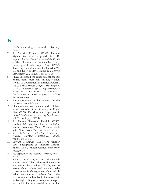*World,* Cambridge: Harvard University Press.

- 7. See Maurice Cranston (1967), 'Human Rights, Real and Supposed', in D.D. Raphael (ed.), *Political Theory and the Rights of Man,* Bloomington: Indiana University Press, pp. 43–53; Roger Pilon (1979), 'Ordering Rights Consistently: Or What We Do and Do Not Have Rights To', *Georgia Law Review,* vol. 13, no. 4, pp. 1171–96.
- 8. I have discussed the constitutional aspects of this point more fully in Roger Pilon (1995), 'A Government of Limited Powers', *The Cato Handbook for Congress.* Washington, D.C.: Cato Institute, pp. 17–34; reprinted as 'Restoring Constitutional Government', *Cato's Letters,* no. 9, Washington, D.C.: Cato Institute (1995).
- 9. For a discussion of that subject, see the sources at note 5 above.
- 10. I have outlined such a view, and criticized other methods of justification, in Roger Pilon (1979), 'On Moral and Legal Justification', *Southwestern University Law Review,* vol. 11, no. 4, pp. 1327–44 .
- 11. See Wesley Newcomb Hohfeld (1946), *Fundamental Legal Conceptions as Applied in Judicial Reasoning,* Walter Wheeler Cook (ed.), New Haven: Yale University Press.
- 12. See H.L.A. Hart (1955), 'Are There Any Natural Rights?' *Philosophical Review,* vol. 64, pp. 175–91.
- 13. Edward S. Corwin (1995), 'The "Higher Law'' Background of American Constitutional Law', Ithaca: Cornell University Press, p. 26.
- 14. See especially the 'Second Treatise', note 4 above.
- 15. None of this is to say, of course, that no values are "better'' than others or that we cannot reason about values. Clearly, we do reason about values; and we can make powerful *prudential* arguments about which values are superior to others. But in the end, values are subjective in the sense that, unlike rights, they vary from person to person; and in the more analytical sense that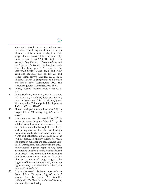statements about values are neither true nor false, there being no ultimate criterion of value that is immune to skeptical challenge. I have discussed this issue more fully in Roger Pilon (ed.) (1990), 'The Right to Do Wrong', *Flag-Burning, Discrimination, and the Right to Do Wrong,* Washington, D.C.: Cato Institute, pp. 1–7; repr. in *The Libertarian Reader*, David Boaz (ed.), New York: The Free Press, 1997, pp. 197–201; and Roger Pilon (1997), untitled essay in *E Pluribus Unum? A Symposium on Pluralism and Public Policy,* Washington, D.C.: The American Jewish Committee, pp. 61–64.

- 16. Locke, 'Second Treatise', note 4 above, p. 123.
- 17. James Madison, 'Property', *National Gazette,* vol. 1, no. 44, March 29, 1792, pp. 174–75; repr. in *Letters and Other Writings of James Madison,* vol. 4, Philadelphia: J. B. Lippincott & Co., 1865, pp. 478–80.
- 18. I have developed these points more fully in Roger Pilon, 'Ordering Rights', note 7 above.
- 19. Sometimes we use the word "forfeit" to mean the same thing as "alienate": by his act, for example, a murderer is said to have forfeited or alienated his right to his liberty and perhaps to his life. Likewise, through promise or contract, we alienate and create rights and obligations on a regular basis, as will be discussed shortly. Often, however, the question whether we can alienate various of our rights is conflated with the question whether a given right, having been alienated to another person, will be secured or enforced. Care must be taken to notice that those are separate questions. In particular, in the nature of things — given the vagaries of life — not every right, including rights we may have alienated to others, can or should be enforced.
- 20. I have discussed this issue more fully in Roger Pilon, 'Ordering Rights', note 7 above. See also James M. Ratcliffe (1966)(ed.), *The Good Samaritan and the Law,* Garden City: Doubleday.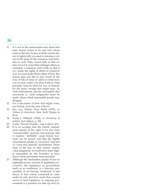- 21. It is not in the enforcement area alone that pure reason comes to its end and values come to the fore. In fact, to flesh out the theory of rights fully we need to introduce values in the areas of risk, nuisance, and remedies as well. Thus, reason tells us that we may not act in ways that endanger others or constitute a nuisance; and it tells us that if we violate the rights of others in whatever way we must make those others whole. But reason does not tell us how much in the way of risk or noise or odors or what have you we may create; nor does it tell us what precisely must be done by way of remedy for the many wrongs that might arise. As with enforcement, and the uncertainty that surrounds it, value judgments must be made, about which reasonable people may disagree.
- 22. For a discussion of how that might work, see Nozick, *Anarchy,* note 4 above.
- 23. See, e.g., Robert Paul Wolff (1970), *In Defense of Anarchism,* New York: Harper & Row.
- 24. Frank J. Wilstach (1924), *A Dictionary of Similes*, 2nd edition, p. 526.
- 25. Locke, 'Second Treatise', note 4 above, §13.
- 26. It is no accident that the Fourth Amendment speaks of the right to be free from "unreasonable" searches and seizures; that it requires "probable" cause before warrants can be issued; and that the Eighth Amendment speaks of "excessive" bail and of "cruel and unusual" punishment. Those areas of the law, in their nature, require value judgments. It would have been highly imprudent for the Founders to have drawn those provisions more precisely.
- 27. Although the Declaration speaks of just or legitimate *powers*, not just or legitimate *governments,* the legitimacy of government itself, as an institution, is a function, presumably, of our having "instituted" it and hence, to that extent, consented to come under its rule. Just how much that consent serves to lend legitimacy to ongoing governments is a question we take up next, by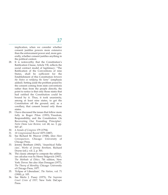implication, when we consider whether consent justifies powers more extensive than the enforcement power and, more generally, whether consent justifies anything in the political context.

- 28. It is noteworthy that the Constitution's Ratification Clause, Article VII, reflects the social contract model of legitimacy: "The Ratification of the Conventions of nine States, shall be sufficient for the Establishment of this Constitution *between the States so ratifying the Same"* (emphasis added). Setting aside the problem posed by the consent coming from state conventions rather than from the people directly, the point to notice is that only those states that had ratified the Constitution could be bound by it. Thus, it took unanimity, among at least nine states, to get the Constitution off the ground; and, as a corollary, that consent bound only those states.
- 29. I have discussed the issues that follow more fully in Roger Pilon (1993), 'Freedom, Responsibility, and the Constitution: On Recovering Our Founding Principles', *Notre Dame Law Review,* vol. 68, no. 3, pp. 507–47.
- 30. *4 Annals of Congress* 179 (1794).
- 31. *18 Congressional Record* 1875 (1887).
- 32. See Richard M. Weaver (1948), *Ideas Have Consequences,* Chicago: University of Chicago Press.
- 33. Jeremy Bentham (1843), 'Anarchical Fallacies', *Works of Jeremy Bentham,* Richard Doyne (ed.), vol. 2, p. 501.
- 34. The classic attempt to compute the utilitarian calculus was by Henry Sidgwick (1907), *The Methods of Ethics,* 7th edition, New York: Dover. See also Alan Donagan (1977), *The Theory of Morality,* Chicago: University of Chicago Press, 1977.
- 35. 'Eclipse of Liberalism', *The Nation,* vol. 71 (1900), p. 105.
- 36. See Merlo J. Pusey (1973), *The Supreme Court Crisis of 1937,* New York: DaCapo Press.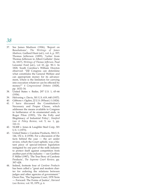- 37. See James Madison (1906), 'Report on Resolutions', *The Writings of James Madison,* Gaillard Hunt (ed.), vol. 6, p. 357; Thomas Jefferson (1899), 'Letter from Thomas Jefferson to Albert Gallatin' (June 16, 1817), *Writings of Thomas Jefferson,* Paul Leicester Ford (ed.), vol 10, pp. 90–1. In 1828, South Carolina's William Drayton observed: "[I]f Congress can determine what constitutes the General Welfare and can appropriate money for its advancement, where is the limitation for carrying into execution whatever can be effected by money?" *4 Congressional Debates* (1828), pp. 1632–34.
- 38. United States v. Butler, 297 U.S. 1, 65–66 (1936).
- 39. Helvering v. Davis, 301 U.S. 619, 640 (1937).
- 40. Gibbons v. Ogden, 22 U.S. (Wheat.) 1 (1824).
- 41. I have discussed the Constitution's Necessary and Proper Clause, which addresses the means available to Congress in furtherance of its enumerated ends, in Roger Pilon (1993), 'On the Folly and Illegitimacy of Industrial Policy', *Stanford Law & Policy Review*, vol. 5, no. 1, pp. 110–11.
- 42. NLRB v. Jones & Laughlin Steel Corp, 301 U.S. 1 (1973).
- 43. United States v. Carolene Products, 304 U.S. 144, 152 n. 4 (1938). For a discussion of the facts behind the case — the act under review, which the Court upheld, was a blatant piece of special-interest legislation instigated by one part of the milk industry to protect itself against competition from another part of the industry — see Geoffrey P. Miller (1987), 'The True Story of Carolene Products', *The Supreme Court Review,* pp. 397–428.
- 44. Indeed, footnote four of *Carolene Products* has been called a "great and modern charter for ordering the relations between judges and other agencies of government." Owen Fiss, 'The Supreme Court, 1978 Term — Forward: The Forms of Justice', *Harvard Law Review,* vol. 93, 1979, p. 6.